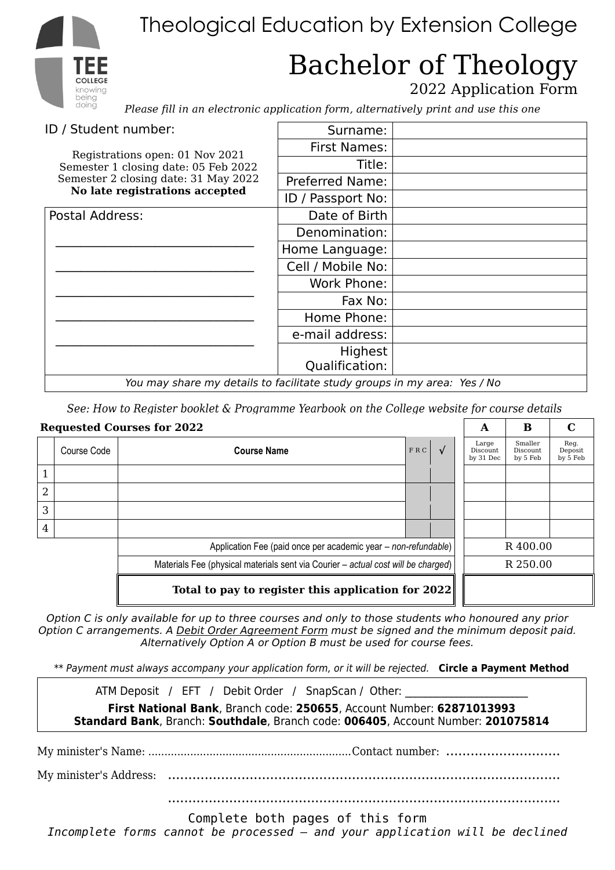# Theological Education by Extension College

## Bachelor of Theology 2022 Application Form

*Please fill in an electronic application form, alternatively print and use this one*

| ID / Student number:                                                     | Surname:                  |  |
|--------------------------------------------------------------------------|---------------------------|--|
| Registrations open: 01 Nov 2021                                          | <b>First Names:</b>       |  |
| Semester 1 closing date: 05 Feb 2022                                     | Title:                    |  |
| Semester 2 closing date: 31 May 2022<br>No late registrations accepted   | <b>Preferred Name:</b>    |  |
|                                                                          | ID / Passport No:         |  |
| Postal Address:                                                          | Date of Birth             |  |
|                                                                          | Denomination:             |  |
|                                                                          | Home Language:            |  |
|                                                                          | Cell / Mobile No:         |  |
|                                                                          | Work Phone:               |  |
|                                                                          | Fax No:                   |  |
|                                                                          | Home Phone:               |  |
|                                                                          | e-mail address:           |  |
|                                                                          | Highest<br>Qualification: |  |
| You may share my details to facilitate study groups in my area: Yes / No |                           |  |

*See: How to Register booklet & Programme Yearbook on the College website for course details*

| <b>Requested Courses for 2022</b>                              |                                                                                   |                    |     |            | A                              | B                               | C                           |
|----------------------------------------------------------------|-----------------------------------------------------------------------------------|--------------------|-----|------------|--------------------------------|---------------------------------|-----------------------------|
|                                                                | Course Code                                                                       | <b>Course Name</b> | FRC | $\sqrt{ }$ | Large<br>Discount<br>by 31 Dec | Smaller<br>Discount<br>by 5 Feb | Reg.<br>Deposit<br>by 5 Feb |
|                                                                |                                                                                   |                    |     |            |                                |                                 |                             |
| $\overline{2}$                                                 |                                                                                   |                    |     |            |                                |                                 |                             |
| 3                                                              |                                                                                   |                    |     |            |                                |                                 |                             |
| $\overline{4}$                                                 |                                                                                   |                    |     |            |                                |                                 |                             |
| Application Fee (paid once per academic year – non-refundable) |                                                                                   |                    |     |            | R400.00                        |                                 |                             |
|                                                                | Materials Fee (physical materials sent via Courier – actual cost will be charged) |                    |     |            | R 250.00                       |                                 |                             |
| Total to pay to register this application for $2022$           |                                                                                   |                    |     |            |                                |                                 |                             |

*Option C is only available for up to three courses and only to those students who honoured any prior Option C arrangements. A Debit Order Agreement Form must be signed and the minimum deposit paid. Alternatively Option A or Option B must be used for course fees.*

*\*\* Payment must always accompany your application form, or it will be rejected.* **Circle a Payment Method**

ATM Deposit / EFT / Debit Order / SnapScan / Other:

**First National Bank**, Branch code: **250655**, Account Number: **62871013993 Standard Bank**, Branch: **Southdale**, Branch code: **006405**, Account Number: **201075814**

My minister's Name: ...............................................................Contact number: ............................

My minister's Address: ................................................................................................

................................................................................................

Complete both pages of this form

*Incomplete forms cannot be processed – and your application will be declined*